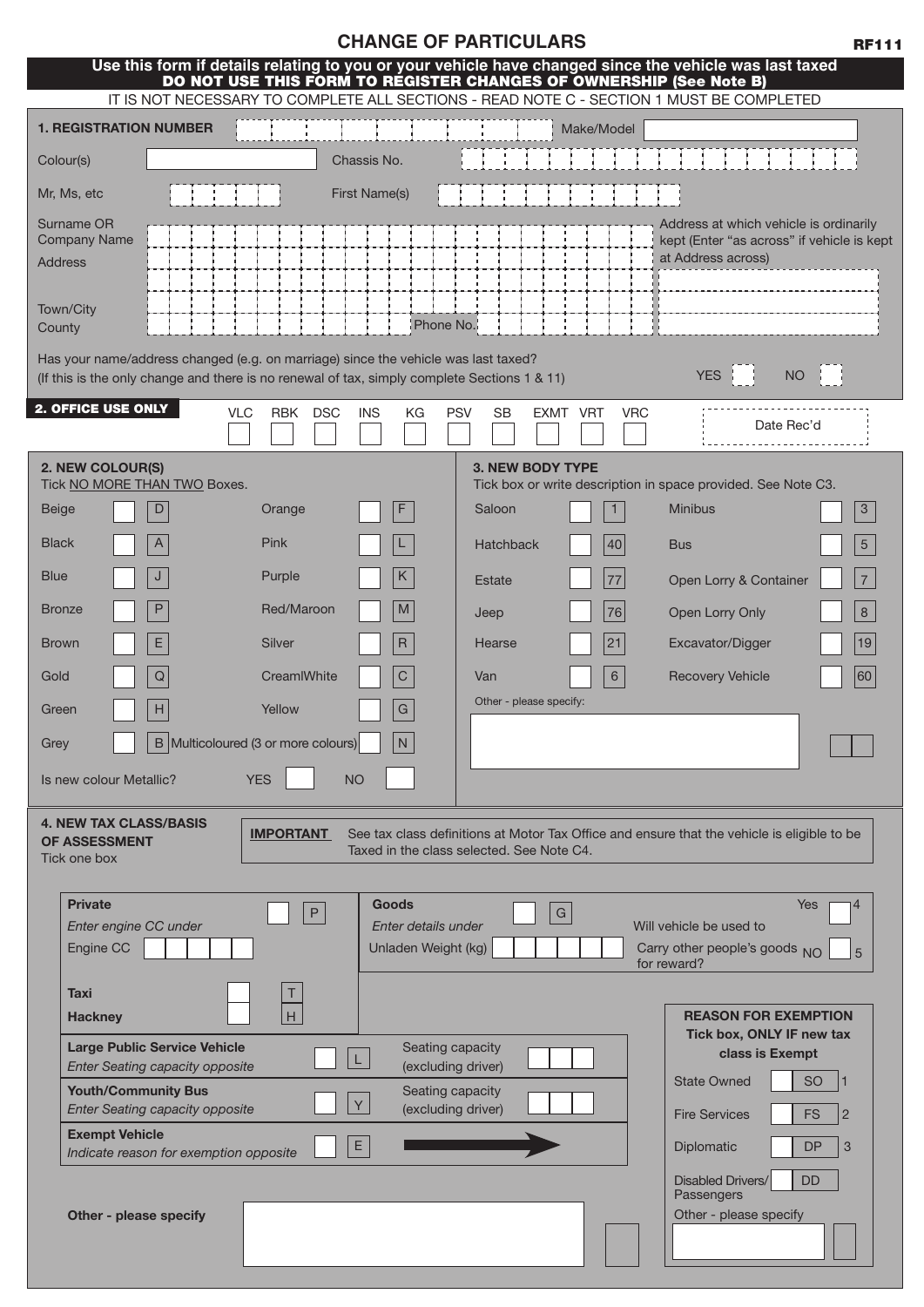|  |  |  | <b>CHANGE OF PARTICULARS</b> |
|--|--|--|------------------------------|
|--|--|--|------------------------------|

| Use this form if details relating to you or your vehicle have changed since the vehicle was last taxed                                                                             |                                            | DO NOT USE THIS FORM TO REGISTER CHANGES OF OWNERSHIP (See Note B) |                                                                                                            |
|------------------------------------------------------------------------------------------------------------------------------------------------------------------------------------|--------------------------------------------|--------------------------------------------------------------------|------------------------------------------------------------------------------------------------------------|
| IT IS NOT NECESSARY TO COMPLETE ALL SECTIONS - READ NOTE C - SECTION 1 MUST BE COMPLETED                                                                                           |                                            |                                                                    |                                                                                                            |
| <b>1. REGISTRATION NUMBER</b>                                                                                                                                                      |                                            | Make/Model                                                         |                                                                                                            |
| Colour(s)                                                                                                                                                                          | Chassis No.                                |                                                                    |                                                                                                            |
| Mr, Ms, etc                                                                                                                                                                        | <b>First Name(s)</b>                       |                                                                    |                                                                                                            |
| Surname OR<br><b>Company Name</b><br><b>Address</b>                                                                                                                                |                                            |                                                                    | Address at which vehicle is ordinarily<br>kept (Enter "as across" if vehicle is kept<br>at Address across) |
| Town/City<br>County                                                                                                                                                                | Phone No.                                  |                                                                    |                                                                                                            |
| Has your name/address changed (e.g. on marriage) since the vehicle was last taxed?<br>(If this is the only change and there is no renewal of tax, simply complete Sections 1 & 11) |                                            |                                                                    | <b>YES</b><br><b>NO</b>                                                                                    |
| 2. OFFICE USE ONLY<br><b>VLC</b><br><b>RBK</b>                                                                                                                                     | <b>DSC</b><br><b>INS</b><br>KG             | <b>PSV</b><br><b>SB</b><br>EXMT VRT                                | <b>VRC</b><br>Date Rec'd                                                                                   |
| 2. NEW COLOUR(S)                                                                                                                                                                   |                                            | <b>3. NEW BODY TYPE</b>                                            |                                                                                                            |
| Tick NO MORE THAN TWO Boxes.                                                                                                                                                       |                                            |                                                                    | Tick box or write description in space provided. See Note C3.                                              |
| D<br><b>Beige</b><br>Orange                                                                                                                                                        | F                                          | Saloon                                                             | <b>Minibus</b><br>$\mathbf{3}$                                                                             |
| Pink<br><b>Black</b><br>A                                                                                                                                                          |                                            | 40<br><b>Hatchback</b>                                             | $5\overline{)}$<br><b>Bus</b>                                                                              |
| <b>Blue</b><br>J<br>Purple                                                                                                                                                         | K                                          | 77<br><b>Estate</b>                                                | $\overline{7}$<br>Open Lorry & Container                                                                   |
| P<br>Red/Maroon<br><b>Bronze</b>                                                                                                                                                   | M                                          | 76<br>Jeep                                                         | 8<br>Open Lorry Only                                                                                       |
| Е<br><b>Brown</b><br>Silver                                                                                                                                                        | $\mathsf{R}$                               | 21<br>Hearse                                                       | 19<br>Excavator/Digger                                                                                     |
| ${\bf Q}$<br>CreamIWhite<br>Gold                                                                                                                                                   | $\mathsf{C}$                               | 6<br>Van                                                           | <b>Recovery Vehicle</b><br>60                                                                              |
| H<br>Yellow<br>Green                                                                                                                                                               | G                                          | Other - please specify:                                            |                                                                                                            |
| B Multicoloured (3 or more colours)<br>Grey                                                                                                                                        | N                                          |                                                                    |                                                                                                            |
| <b>YES</b><br>Is new colour Metallic?                                                                                                                                              | <b>NO</b>                                  |                                                                    |                                                                                                            |
| <b>4. NEW TAX CLASS/BASIS</b><br><b>IMPORTANT</b><br><b>OF ASSESSMENT</b><br>Tick one box                                                                                          |                                            | Taxed in the class selected. See Note C4.                          | See tax class definitions at Motor Tax Office and ensure that the vehicle is eligible to be                |
| <b>Private</b>                                                                                                                                                                     | <b>Goods</b><br>$\sf P$                    | G                                                                  | Yes                                                                                                        |
| Enter engine CC under<br>Engine CC                                                                                                                                                 | Enter details under<br>Unladen Weight (kg) |                                                                    | Will vehicle be used to<br>Carry other people's goods NO                                                   |
| <b>Taxi</b>                                                                                                                                                                        |                                            |                                                                    | for reward?                                                                                                |
| $\overline{H}$<br><b>Hackney</b>                                                                                                                                                   |                                            |                                                                    | <b>REASON FOR EXEMPTION</b>                                                                                |
| <b>Large Public Service Vehicle</b>                                                                                                                                                | Seating capacity                           |                                                                    | Tick box, ONLY IF new tax<br>class is Exempt                                                               |
| <b>Enter Seating capacity opposite</b><br><b>Youth/Community Bus</b>                                                                                                               | (excluding driver)<br>Seating capacity     |                                                                    | <b>State Owned</b><br><b>SO</b>                                                                            |
| <b>Enter Seating capacity opposite</b>                                                                                                                                             | Y<br>(excluding driver)                    |                                                                    | <b>Fire Services</b><br><b>FS</b><br>$\overline{2}$                                                        |
| <b>Exempt Vehicle</b><br>Indicate reason for exemption opposite                                                                                                                    | $\mathsf E$                                |                                                                    | <b>DP</b><br>3<br>Diplomatic                                                                               |
|                                                                                                                                                                                    |                                            |                                                                    | Disabled Drivers/<br><b>DD</b>                                                                             |
| Other - please specify                                                                                                                                                             |                                            |                                                                    | Passengers<br>Other - please specify                                                                       |
|                                                                                                                                                                                    |                                            |                                                                    |                                                                                                            |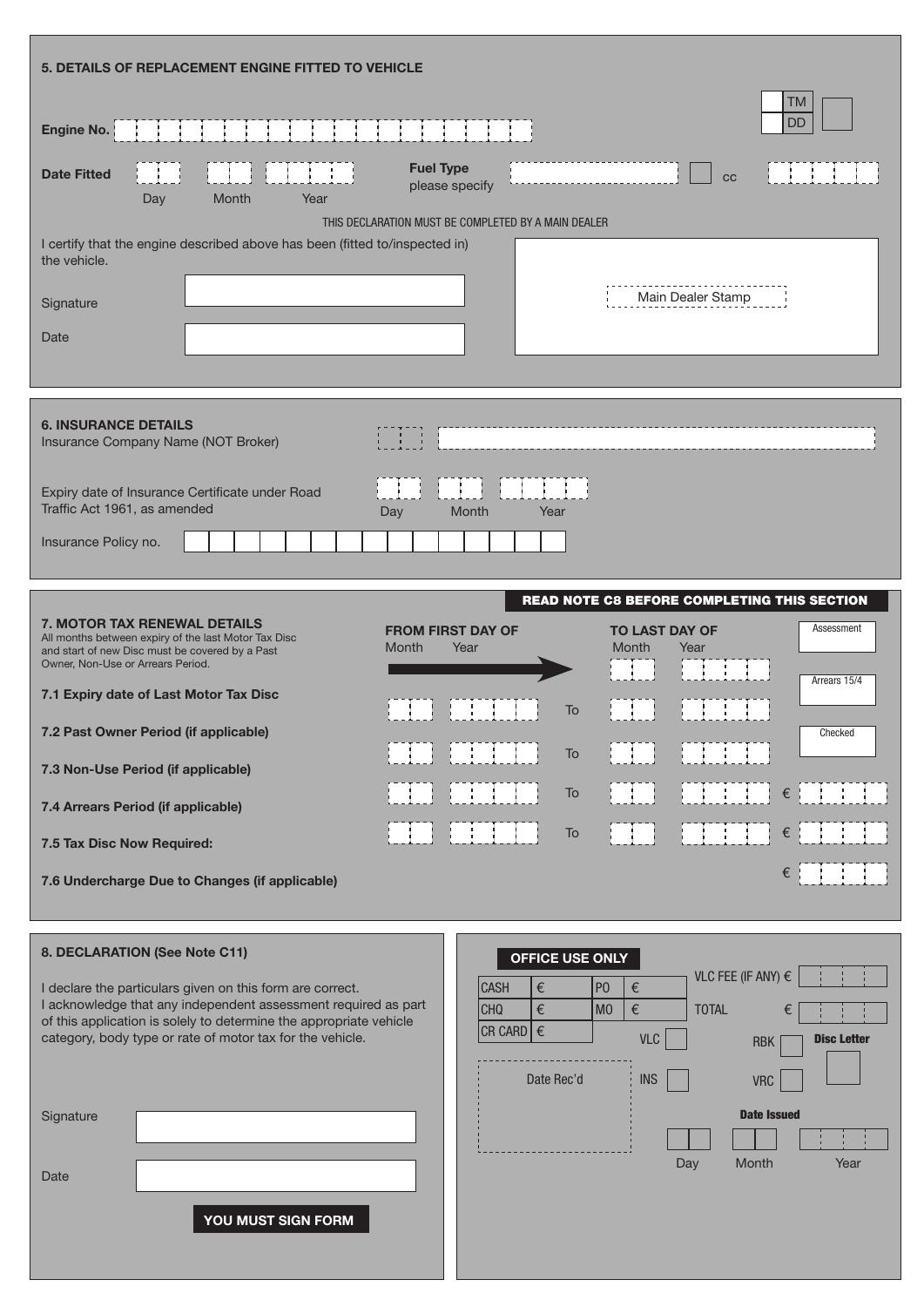| 5. DETAILS OF REPLACEMENT ENGINE FITTED TO VEHICLE                                                                                                                                                                                                                                       |
|------------------------------------------------------------------------------------------------------------------------------------------------------------------------------------------------------------------------------------------------------------------------------------------|
| <b>TM</b><br><b>DD</b><br>Engine No.                                                                                                                                                                                                                                                     |
| <b>Fuel Type</b><br><b>Date Fitted</b><br>cc<br>please specify<br>Day<br>Month<br>Year                                                                                                                                                                                                   |
| THIS DECLARATION MUST BE COMPLETED BY A MAIN DEALER                                                                                                                                                                                                                                      |
| I certify that the engine described above has been (fitted to/inspected in)<br>the vehicle.                                                                                                                                                                                              |
| Main Dealer Stamp<br>Signature                                                                                                                                                                                                                                                           |
| Date                                                                                                                                                                                                                                                                                     |
|                                                                                                                                                                                                                                                                                          |
| <b>6. INSURANCE DETAILS</b><br>Insurance Company Name (NOT Broker)                                                                                                                                                                                                                       |
| Expiry date of Insurance Certificate under Road<br>Traffic Act 1961, as amended<br>Month<br>Year<br>Day                                                                                                                                                                                  |
| Insurance Policy no.                                                                                                                                                                                                                                                                     |
| READ NOTE C8 BEFORE COMPLETING THIS SECTION                                                                                                                                                                                                                                              |
| <b>7. MOTOR TAX RENEWAL DETAILS</b><br><b>FROM FIRST DAY OF</b><br><b>TO LAST DAY OF</b><br>Assessment<br>All months between expiry of the last Motor Tax Disc<br>Month<br>Year<br>Month<br>Year<br>and start of new Disc must be covered by a Past<br>Owner, Non-Use or Arrears Period. |
| Arrears 15/4<br>7.1 Expiry date of Last Motor Tax Disc<br>To                                                                                                                                                                                                                             |
| 7.2 Past Owner Period (if applicable)<br>Checked                                                                                                                                                                                                                                         |
| To<br>7.3 Non-Use Period (if applicable)                                                                                                                                                                                                                                                 |

7.4 Arrears Period (if applicable)

7.5 Tax Disc Now Required:

7.6 Undercharge Due to Changes (if applicable)

# 8. DECLARATION (See Note C11)

I declare the particulars given on this form are correct. I acknowledge that any independent assessment required as part of this application is solely to determine the appropriate vehicle category, body type or rate of motor tax for the vehicle.

**Signature** 

Date

YOU MUST SIGN FORM



T T

Ŧ

TI TI

T)

÷.

€

**FILTER** 

€

€

To

٦

man m

TTTTT

T

HH.

To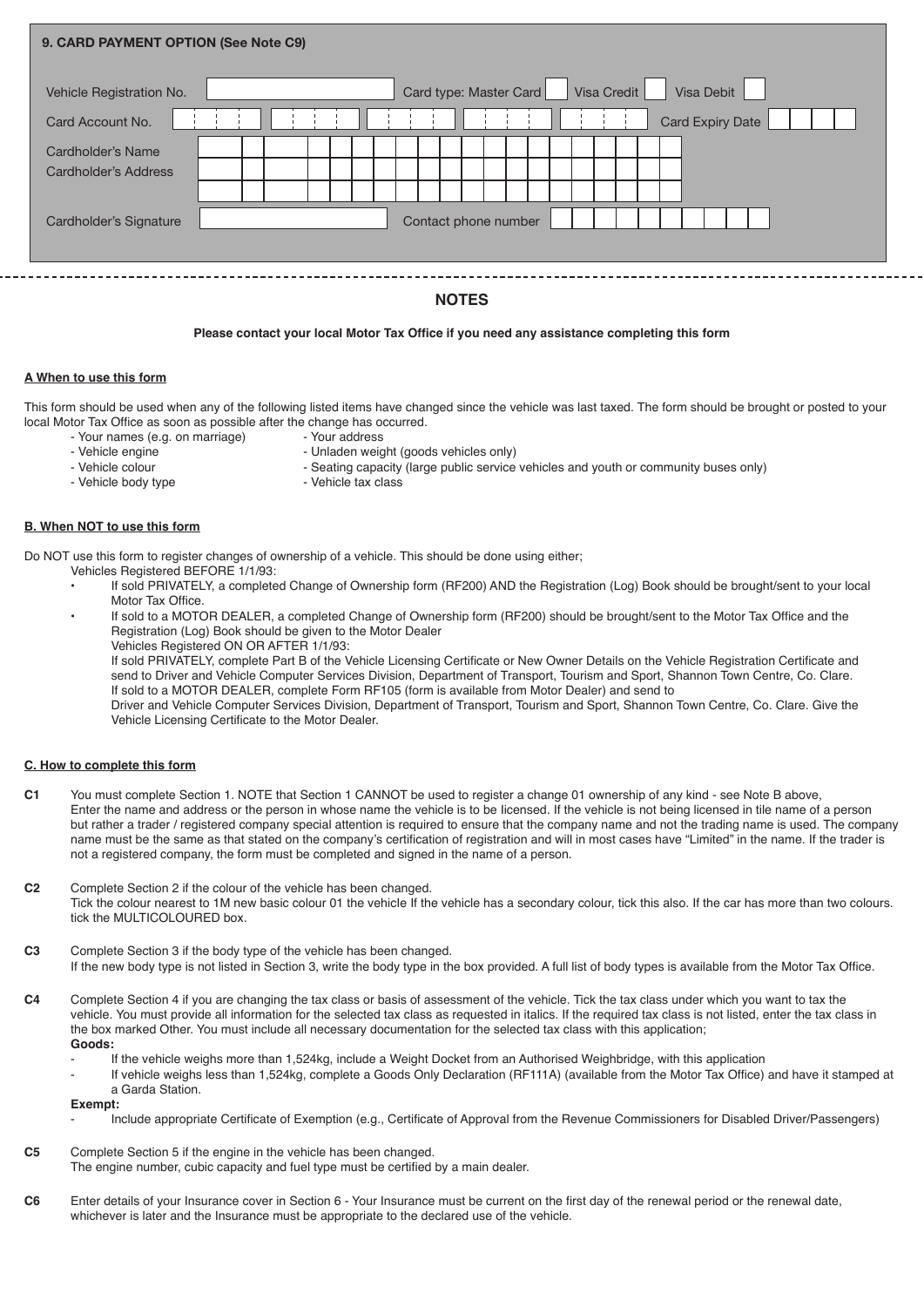| 9. CARD PAYMENT OPTION (See Note C9)      |  |  |  |  |  |                      |                        |  |             |  |            |  |                         |  |  |  |
|-------------------------------------------|--|--|--|--|--|----------------------|------------------------|--|-------------|--|------------|--|-------------------------|--|--|--|
| Vehicle Registration No.                  |  |  |  |  |  |                      | Card type: Master Card |  | Visa Credit |  | Visa Debit |  |                         |  |  |  |
| Card Account No.                          |  |  |  |  |  |                      |                        |  |             |  |            |  | <b>Card Expiry Date</b> |  |  |  |
| Cardholder's Name<br>Cardholder's Address |  |  |  |  |  |                      |                        |  |             |  |            |  |                         |  |  |  |
| Cardholder's Signature                    |  |  |  |  |  | Contact phone number |                        |  |             |  |            |  |                         |  |  |  |

# **NOTES**

# **Please contact your local Motor Tax Office if you need any assistance completing this form**

## **A When to use this form**

This form should be used when any of the following listed items have changed since the vehicle was last taxed. The form should be brought or posted to your local Motor Tax Office as soon as possible after the change has occurred.

- Your names (e.g. on marriage)<br>- Vehicle engine
- Vehicle engine<br>
Vehicle colour<br>
Seating capacity (large public service
- 
- Vehicle body type
- Seating capacity (large public service vehicles and youth or community buses only) Vehicle tax class

#### **B. When NOT to use this form**

Do NOT use this form to register changes of ownership of a vehicle. This should be done using either;

- Vehicles Registered BEFORE 1/1/93:
- **•** If sold PRIVATELY, a completed Change of Ownership form (RF200) AND the Registration (Log) Book should be brought/sent to your local Motor Tax Office.
- **•** If sold to a MOTOR DEALER, a completed Change of Ownership form (RF200) should be brought/sent to the Motor Tax Office and the Registration (Log) Book should be given to the Motor Dealer
	- Vehicles Registered ON OR AFTER 1/1/93:

If sold PRIVATELY, complete Part B of the Vehicle Licensing Certificate or New Owner Details on the Vehicle Registration Certificate and send to Driver and Vehicle Computer Services Division, Department of Transport, Tourism and Sport, Shannon Town Centre, Co. Clare. If sold to a MOTOR DEALER, complete Form RF105 (form is available from Motor Dealer) and send to

Driver and Vehicle Computer Services Division, Department of Transport, Tourism and Sport, Shannon Town Centre, Co. Clare. Give the Vehicle Licensing Certificate to the Motor Dealer.

#### **C. How to complete this form**

- **C1** You must complete Section 1. NOTE that Section 1 CANNOT be used to register a change 01 ownership of any kind see Note B above, Enter the name and address or the person in whose name the vehicle is to be Iicensed. If the vehicle is not being licensed in tile name of a person but rather a trader / registered company special attention is required to ensure that the company name and not the trading name is used. The company name must be the same as that stated on the company's certification of registration and will in most cases have "Limited" in the name. If the trader is not a registered company, the form must be completed and signed in the name of a person.
- **C2** Complete Section 2 if the colour of the vehicle has been changed. Tick the colour nearest to 1M new basic colour 01 the vehicle If the vehicle has a secondary colour, tick this also. If the car has more than two colours. tick the MULTICOLOURED box.
- **C3** Complete Section 3 if the body type of the vehicle has been changed. If the new body type is not listed in Section 3, write the body type in the box provided. A full list of body types is available from the Motor Tax Office.
- **C4** Complete Section 4 if you are changing the tax class or basis of assessment of the vehicle. Tick the tax class under which you want to tax the vehicle. You must provide all information for the selected tax class as requested in italics. If the required tax class is not listed, enter the tax class in the box marked Other. You must include all necessary documentation for the selected tax class with this application; **Goods:**
	- If the vehicle weighs more than 1,524kg, include a Weight Docket from an Authorised Weighbridge, with this application
	- If vehicle weighs less than 1,524kg, complete a Goods Only Declaration (RF111A) (available from the Motor Tax Office) and have it stamped at a Garda Station.

## **Exempt:**

- Include appropriate Certificate of Exemption (e.g., Certificate of Approval from the Revenue Commissioners for Disabled Driver/Passengers)
- **C5** Complete Section 5 if the engine in the vehicle has been changed. The engine number, cubic capacity and fuel type must be certified by a main dealer.
- **C6** Enter details of your Insurance cover in Section 6 Your Insurance must be current on the first day of the renewal period or the renewal date, whichever is later and the Insurance must be appropriate to the declared use of the vehicle.